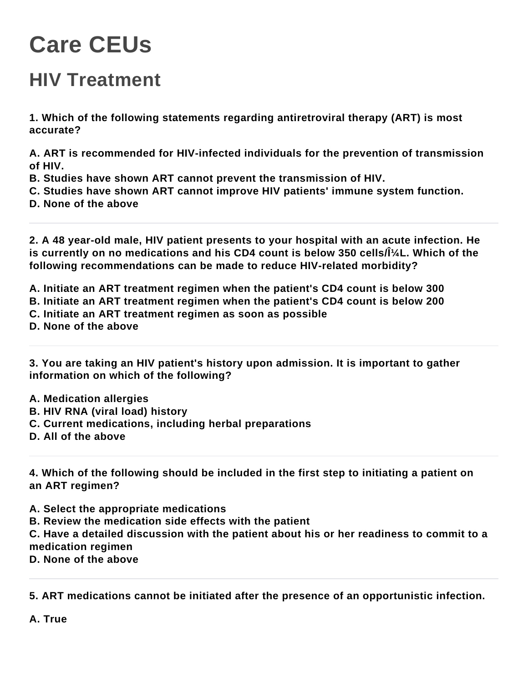## **Care CEUs**

## **HIV Treatment**

**1. Which of the following statements regarding antiretroviral therapy (ART) is most accurate?**

**A. ART is recommended for HIV-infected individuals for the prevention of transmission of HIV.**

- **B. Studies have shown ART cannot prevent the transmission of HIV.**
- **C. Studies have shown ART cannot improve HIV patients' immune system function.**
- **D. None of the above**

**2. A 48 year-old male, HIV patient presents to your hospital with an acute infection. He**  is currently on no medications and his CD4 count is below 350 cells/l<sup>1</sup>/<sub>4</sub>L. Which of the **following recommendations can be made to reduce HIV-related morbidity?**

**A. Initiate an ART treatment regimen when the patient's CD4 count is below 300 B. Initiate an ART treatment regimen when the patient's CD4 count is below 200 C. Initiate an ART treatment regimen as soon as possible D. None of the above**

**3. You are taking an HIV patient's history upon admission. It is important to gather information on which of the following?**

- **A. Medication allergies**
- **B. HIV RNA (viral load) history**
- **C. Current medications, including herbal preparations**
- **D. All of the above**

**4. Which of the following should be included in the first step to initiating a patient on an ART regimen?**

**A. Select the appropriate medications**

**B. Review the medication side effects with the patient**

**C. Have a detailed discussion with the patient about his or her readiness to commit to a medication regimen**

**D. None of the above**

**5. ART medications cannot be initiated after the presence of an opportunistic infection.**

**A. True**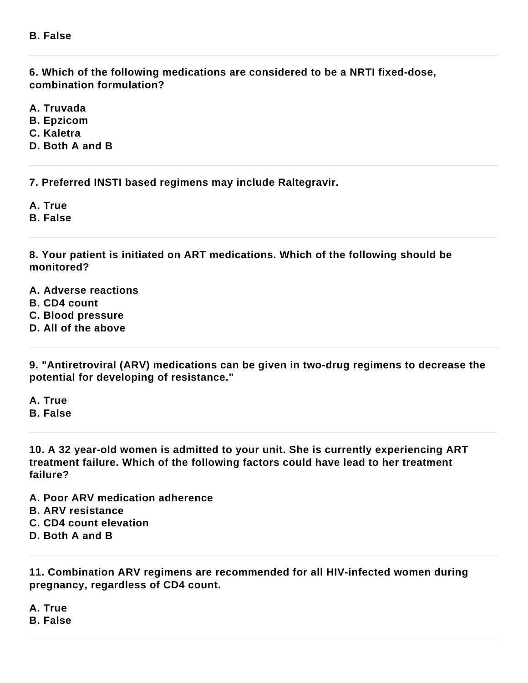**6. Which of the following medications are considered to be a NRTI fixed-dose, combination formulation?**

**A. Truvada**

**B. Epzicom**

**C. Kaletra**

**D. Both A and B**

**7. Preferred INSTI based regimens may include Raltegravir.**

**A. True**

**B. False**

**8. Your patient is initiated on ART medications. Which of the following should be monitored?**

**A. Adverse reactions**

**B. CD4 count**

**C. Blood pressure**

**D. All of the above**

**9. "Antiretroviral (ARV) medications can be given in two-drug regimens to decrease the potential for developing of resistance."**

**A. True B. False**

**10. A 32 year-old women is admitted to your unit. She is currently experiencing ART treatment failure. Which of the following factors could have lead to her treatment failure?**

**A. Poor ARV medication adherence B. ARV resistance C. CD4 count elevation D. Both A and B**

**11. Combination ARV regimens are recommended for all HIV-infected women during pregnancy, regardless of CD4 count.**

**A. True**

**B. False**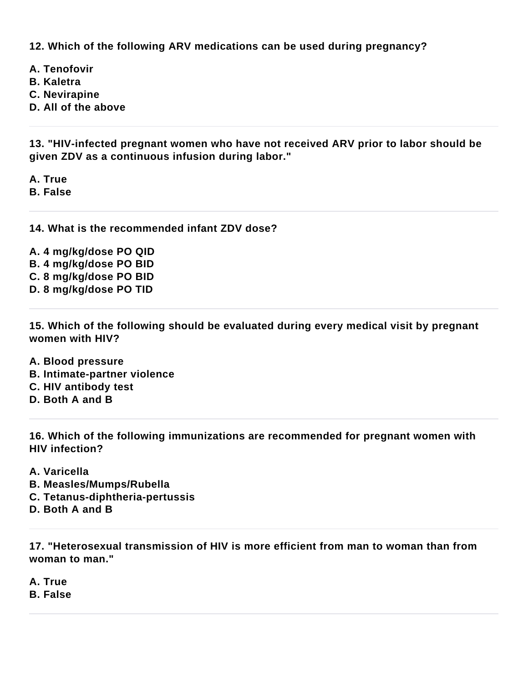**12. Which of the following ARV medications can be used during pregnancy?**

**A. Tenofovir**

- **B. Kaletra**
- **C. Nevirapine**
- **D. All of the above**

**13. "HIV-infected pregnant women who have not received ARV prior to labor should be given ZDV as a continuous infusion during labor."**

**A. True B. False**

**14. What is the recommended infant ZDV dose?**

**A. 4 mg/kg/dose PO QID B. 4 mg/kg/dose PO BID C. 8 mg/kg/dose PO BID D. 8 mg/kg/dose PO TID**

**15. Which of the following should be evaluated during every medical visit by pregnant women with HIV?**

- **A. Blood pressure**
- **B. Intimate-partner violence**
- **C. HIV antibody test**
- **D. Both A and B**

**16. Which of the following immunizations are recommended for pregnant women with HIV infection?**

- **A. Varicella**
- **B. Measles/Mumps/Rubella**
- **C. Tetanus-diphtheria-pertussis**
- **D. Both A and B**

**17. "Heterosexual transmission of HIV is more efficient from man to woman than from woman to man."**

**A. True**

**B. False**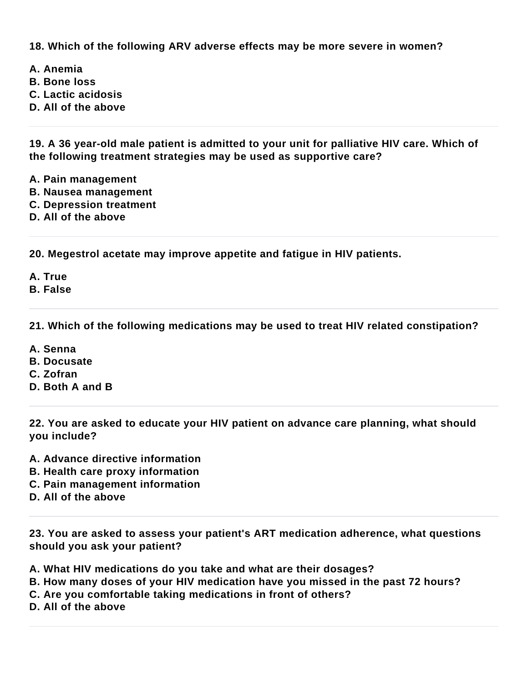**18. Which of the following ARV adverse effects may be more severe in women?**

- **A. Anemia**
- **B. Bone loss**
- **C. Lactic acidosis**
- **D. All of the above**

**19. A 36 year-old male patient is admitted to your unit for palliative HIV care. Which of the following treatment strategies may be used as supportive care?**

- **A. Pain management**
- **B. Nausea management**
- **C. Depression treatment**
- **D. All of the above**

**20. Megestrol acetate may improve appetite and fatigue in HIV patients.**

**A. True**

**B. False**

**21. Which of the following medications may be used to treat HIV related constipation?**

- **A. Senna**
- **B. Docusate**
- **C. Zofran**
- **D. Both A and B**

**22. You are asked to educate your HIV patient on advance care planning, what should you include?**

- **A. Advance directive information**
- **B. Health care proxy information**
- **C. Pain management information**
- **D. All of the above**

**23. You are asked to assess your patient's ART medication adherence, what questions should you ask your patient?**

**A. What HIV medications do you take and what are their dosages?**

- **B. How many doses of your HIV medication have you missed in the past 72 hours?**
- **C. Are you comfortable taking medications in front of others?**
- **D. All of the above**